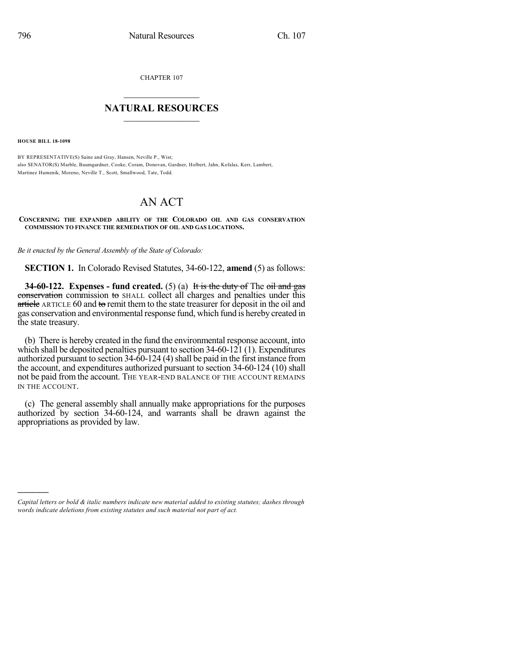CHAPTER 107

## $\mathcal{L}_\text{max}$  . The set of the set of the set of the set of the set of the set of the set of the set of the set of the set of the set of the set of the set of the set of the set of the set of the set of the set of the set **NATURAL RESOURCES**  $\frac{1}{\sqrt{2}}$  , where  $\frac{1}{\sqrt{2}}$  ,  $\frac{1}{\sqrt{2}}$  ,  $\frac{1}{\sqrt{2}}$

**HOUSE BILL 18-1098**

)))))

BY REPRESENTATIVE(S) Saine and Gray, Hansen, Neville P., Wist; also SENATOR(S) Marble, Baumgardner, Cooke, Coram, Donovan, Gardner, Holbert, Jahn, Kefalas, Kerr, Lambert, Martinez Humenik, Moreno, Neville T., Scott, Smallwood, Tate, Todd.

## AN ACT

## **CONCERNING THE EXPANDED ABILITY OF THE COLORADO OIL AND GAS CONSERVATION COMMISSION TO FINANCE THE REMEDIATION OF OIL AND GAS LOCATIONS.**

*Be it enacted by the General Assembly of the State of Colorado:*

**SECTION 1.** In Colorado Revised Statutes, 34-60-122, **amend** (5) as follows:

**34-60-122. Expenses - fund created.** (5) (a) It is the duty of The oil and gas conservation commission to SHALL collect all charges and penalties under this article ARTICLE 60 and to remit them to the state treasurer for deposit in the oil and gas conservation and environmental response fund, which fund is hereby created in the state treasury.

(b) There is hereby created in the fund the environmental response account, into which shall be deposited penalties pursuant to section 34-60-121 (1). Expenditures authorized pursuant to section 34-60-124 (4) shall be paid in the first instance from the account, and expenditures authorized pursuant to section 34-60-124 (10) shall not be paid from the account. THE YEAR-END BALANCE OF THE ACCOUNT REMAINS IN THE ACCOUNT.

(c) The general assembly shall annually make appropriations for the purposes authorized by section 34-60-124, and warrants shall be drawn against the appropriations as provided by law.

*Capital letters or bold & italic numbers indicate new material added to existing statutes; dashes through words indicate deletions from existing statutes and such material not part of act.*